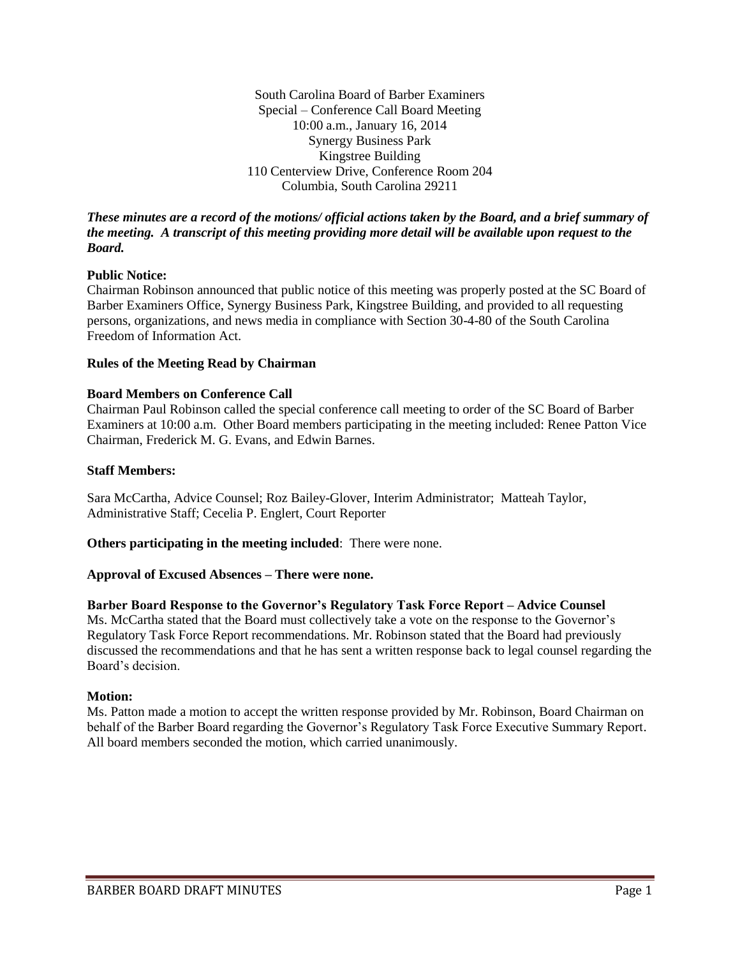South Carolina Board of Barber Examiners Special – Conference Call Board Meeting 10:00 a.m., January 16, 2014 Synergy Business Park Kingstree Building 110 Centerview Drive, Conference Room 204 Columbia, South Carolina 29211

*These minutes are a record of the motions/ official actions taken by the Board, and a brief summary of the meeting. A transcript of this meeting providing more detail will be available upon request to the Board.*

#### **Public Notice:**

Chairman Robinson announced that public notice of this meeting was properly posted at the SC Board of Barber Examiners Office, Synergy Business Park, Kingstree Building, and provided to all requesting persons, organizations, and news media in compliance with Section 30-4-80 of the South Carolina Freedom of Information Act.

#### **Rules of the Meeting Read by Chairman**

## **Board Members on Conference Call**

Chairman Paul Robinson called the special conference call meeting to order of the SC Board of Barber Examiners at 10:00 a.m. Other Board members participating in the meeting included: Renee Patton Vice Chairman, Frederick M. G. Evans, and Edwin Barnes.

## **Staff Members:**

Sara McCartha, Advice Counsel; Roz Bailey-Glover, Interim Administrator; Matteah Taylor, Administrative Staff; Cecelia P. Englert, Court Reporter

**Others participating in the meeting included**: There were none.

# **Approval of Excused Absences – There were none.**

#### **Barber Board Response to the Governor's Regulatory Task Force Report – Advice Counsel**

Ms. McCartha stated that the Board must collectively take a vote on the response to the Governor's Regulatory Task Force Report recommendations. Mr. Robinson stated that the Board had previously discussed the recommendations and that he has sent a written response back to legal counsel regarding the Board's decision.

#### **Motion:**

Ms. Patton made a motion to accept the written response provided by Mr. Robinson, Board Chairman on behalf of the Barber Board regarding the Governor's Regulatory Task Force Executive Summary Report. All board members seconded the motion, which carried unanimously.